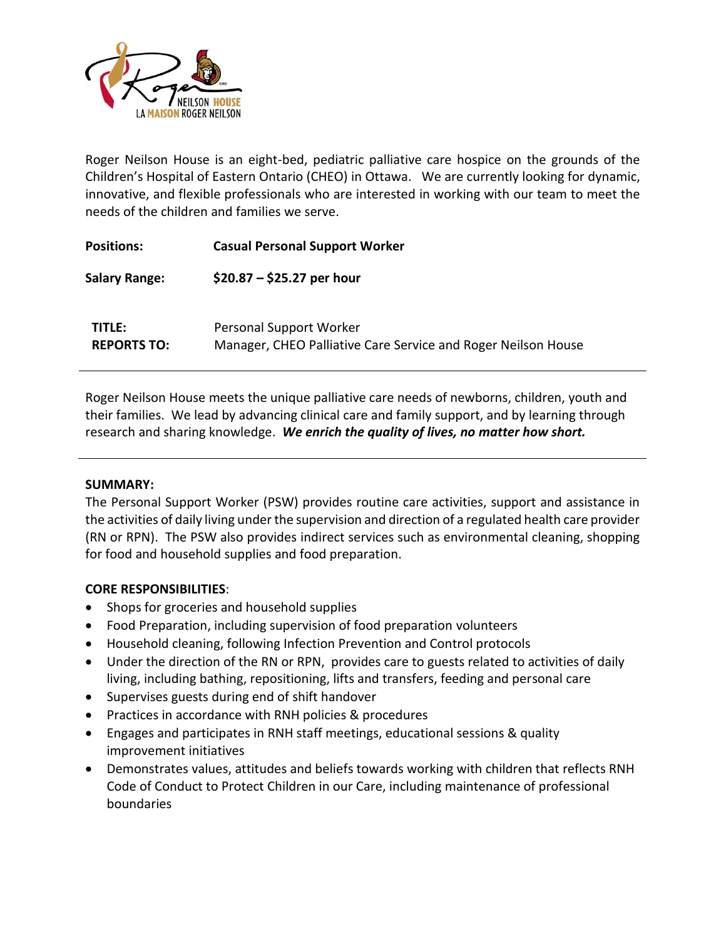

Roger Neilson House is an eight-bed, pediatric palliative care hospice on the grounds of the Children's Hospital of Eastern Ontario (CHEO) in Ottawa. We are currently looking for dynamic, innovative, and flexible professionals who are interested in working with our team to meet the needs of the children and families we serve.

| <b>Positions:</b>                   | <b>Casual Personal Support Worker</b>                                                    |
|-------------------------------------|------------------------------------------------------------------------------------------|
| <b>Salary Range:</b>                | \$20.87 $-$ \$25.27 per hour                                                             |
| <b>TITLE:</b><br><b>REPORTS TO:</b> | Personal Support Worker<br>Manager, CHEO Palliative Care Service and Roger Neilson House |

Roger Neilson House meets the unique palliative care needs of newborns, children, youth and their families. We lead by advancing clinical care and family support, and by learning through research and sharing knowledge. *We enrich the quality of lives, no matter how short.*

## **SUMMARY:**

The Personal Support Worker (PSW) provides routine care activities, support and assistance in the activities of daily living under the supervision and direction of a regulated health care provider (RN or RPN). The PSW also provides indirect services such as environmental cleaning, shopping for food and household supplies and food preparation.

## **CORE RESPONSIBILITIES**:

- Shops for groceries and household supplies
- Food Preparation, including supervision of food preparation volunteers
- Household cleaning, following Infection Prevention and Control protocols
- Under the direction of the RN or RPN, provides care to guests related to activities of daily living, including bathing, repositioning, lifts and transfers, feeding and personal care
- Supervises guests during end of shift handover
- Practices in accordance with RNH policies & procedures
- Engages and participates in RNH staff meetings, educational sessions & quality improvement initiatives
- Demonstrates values, attitudes and beliefs towards working with children that reflects RNH Code of Conduct to Protect Children in our Care, including maintenance of professional boundaries